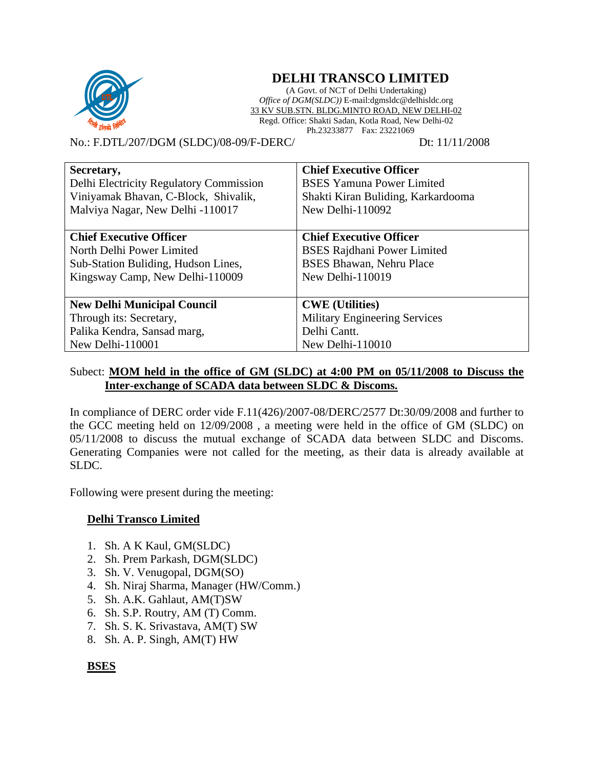

# **DELHI TRANSCO LIMITED**

(A Govt. of NCT of Delhi Undertaking) *Office of DGM(SLDC))* E-mail:dgmsldc@delhisldc.org 33 KV SUB.STN. BLDG.MINTO ROAD, NEW DELHI-02 Regd. Office: Shakti Sadan, Kotla Road, New Delhi-02 Ph.23233877 Fax: 23221069

No.: F.DTL/207/DGM (SLDC)/08-09/F-DERC/ Dt: 11/11/2008

| Secretary,                              | <b>Chief Executive Officer</b>       |
|-----------------------------------------|--------------------------------------|
| Delhi Electricity Regulatory Commission | <b>BSES Yamuna Power Limited</b>     |
| Viniyamak Bhavan, C-Block, Shivalik,    | Shakti Kiran Buliding, Karkardooma   |
| Malviya Nagar, New Delhi -110017        | New Delhi-110092                     |
|                                         |                                      |
| <b>Chief Executive Officer</b>          | <b>Chief Executive Officer</b>       |
| North Delhi Power Limited               | <b>BSES</b> Rajdhani Power Limited   |
| Sub-Station Buliding, Hudson Lines,     | <b>BSES Bhawan, Nehru Place</b>      |
| Kingsway Camp, New Delhi-110009         | New Delhi-110019                     |
|                                         |                                      |
| <b>New Delhi Municipal Council</b>      | <b>CWE</b> (Utilities)               |
| Through its: Secretary,                 | <b>Military Engineering Services</b> |
| Palika Kendra, Sansad marg,             | Delhi Cantt.                         |
| New Delhi-110001                        | New Delhi-110010                     |

### Subect: **MOM held in the office of GM (SLDC) at 4:00 PM on 05/11/2008 to Discuss the Inter-exchange of SCADA data between SLDC & Discoms.**

In compliance of DERC order vide F.11(426)/2007-08/DERC/2577 Dt:30/09/2008 and further to the GCC meeting held on 12/09/2008 , a meeting were held in the office of GM (SLDC) on 05/11/2008 to discuss the mutual exchange of SCADA data between SLDC and Discoms. Generating Companies were not called for the meeting, as their data is already available at SLDC.

Following were present during the meeting:

#### **Delhi Transco Limited**

- 1. Sh. A K Kaul, GM(SLDC)
- 2. Sh. Prem Parkash, DGM(SLDC)
- 3. Sh. V. Venugopal, DGM(SO)
- 4. Sh. Niraj Sharma, Manager (HW/Comm.)
- 5. Sh. A.K. Gahlaut, AM(T)SW
- 6. Sh. S.P. Routry, AM (T) Comm.
- 7. Sh. S. K. Srivastava, AM(T) SW
- 8. Sh. A. P. Singh, AM(T) HW

#### **BSES**